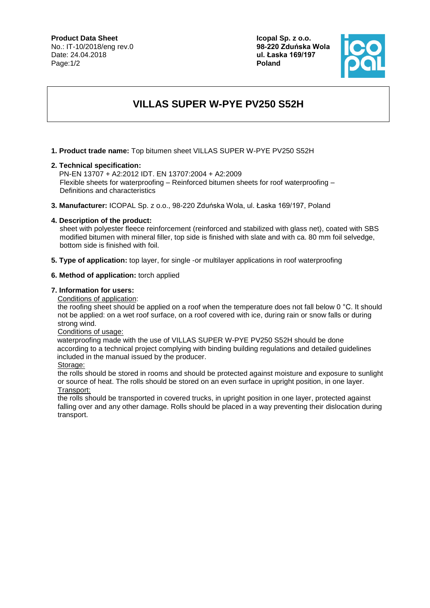#### **Product Data Sheet**

No.: IT-10/2018/eng rev.0 Date: 24.04.2018 Page:1/2

**Icopal Sp. z o.o. 98-220 Zduńska Wola ul. Łaska 169/197 Poland**



# **VILLAS SUPER W-PYE PV250 S52H**

**1. Product trade name:** Top bitumen sheet VILLAS SUPER W-PYE PV250 S52H

#### **2. Technical specification:**

PN-EN 13707 + A2:2012 IDT. EN 13707:2004 + A2:2009 Flexible sheets for waterproofing – Reinforced bitumen sheets for roof waterproofing – Definitions and characteristics

**3. Manufacturer:** ICOPAL Sp. z o.o., 98-220 Zduńska Wola, ul. Łaska 169/197, Poland

## **4. Description of the product:**

sheet with polyester fleece reinforcement (reinforced and stabilized with glass net), coated with SBS modified bitumen with mineral filler, top side is finished with slate and with ca. 80 mm foil selvedge, bottom side is finished with foil.

**5. Type of application:** top layer, for single -or multilayer applications in roof waterproofing

## **6. Method of application:** torch applied

#### **7. Information for users:**

Conditions of application:

the roofing sheet should be applied on a roof when the temperature does not fall below 0 °C. It should not be applied: on a wet roof surface, on a roof covered with ice, during rain or snow falls or during strong wind.

### Conditions of usage:

 waterproofing made with the use of VILLAS SUPER W-PYE PV250 S52H should be done according to a technical project complying with binding building regulations and detailed guidelines included in the manual issued by the producer.

Storage:

the rolls should be stored in rooms and should be protected against moisture and exposure to sunlight or source of heat. The rolls should be stored on an even surface in upright position, in one layer. Transport:

the rolls should be transported in covered trucks, in upright position in one layer, protected against falling over and any other damage. Rolls should be placed in a way preventing their dislocation during transport.